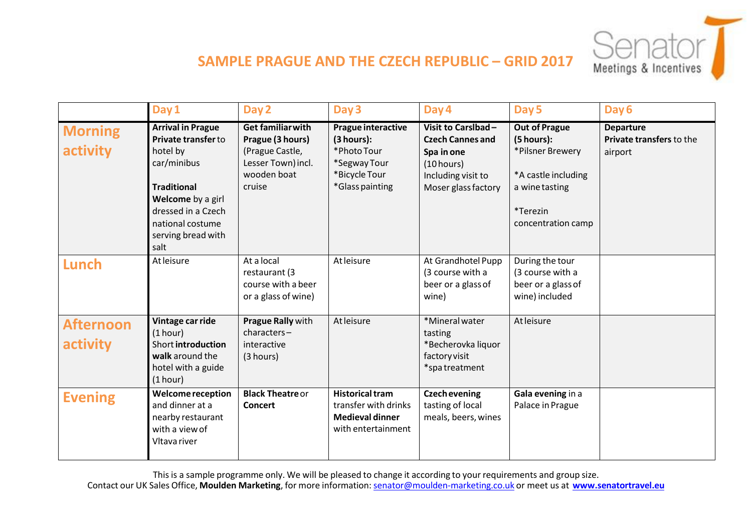

## **SAMPLE PRAGUE AND THE CZECH REPUBLIC – GRID 2017**

|                              | Day 1                                                                                                                                                                                         | Day 2                                                                                                          | Day 3                                                                                                      | Day 4                                                                                                                  | Day 5                                                                                                                             | Day 6                                                   |
|------------------------------|-----------------------------------------------------------------------------------------------------------------------------------------------------------------------------------------------|----------------------------------------------------------------------------------------------------------------|------------------------------------------------------------------------------------------------------------|------------------------------------------------------------------------------------------------------------------------|-----------------------------------------------------------------------------------------------------------------------------------|---------------------------------------------------------|
| <b>Morning</b><br>activity   | <b>Arrival in Prague</b><br>Private transfer to<br>hotel by<br>car/minibus<br><b>Traditional</b><br>Welcome by a girl<br>dressed in a Czech<br>national costume<br>serving bread with<br>salt | <b>Get familiar with</b><br>Prague (3 hours)<br>(Prague Castle,<br>Lesser Town) incl.<br>wooden boat<br>cruise | <b>Prague interactive</b><br>(3 hours):<br>*Photo Tour<br>*Segway Tour<br>*Bicycle Tour<br>*Glass painting | Visit to Carslbad-<br><b>Czech Cannes and</b><br>Spa in one<br>(10 hours)<br>Including visit to<br>Moser glass factory | <b>Out of Prague</b><br>(5 hours):<br>*Pilsner Brewery<br>*A castle including<br>a wine tasting<br>*Terezin<br>concentration camp | <b>Departure</b><br>Private transfers to the<br>airport |
| Lunch                        | At leisure                                                                                                                                                                                    | At a local<br>restaurant (3<br>course with a beer<br>or a glass of wine)                                       | At leisure                                                                                                 | At Grandhotel Pupp<br>(3 course with a<br>beer or a glass of<br>wine)                                                  | During the tour<br>(3 course with a<br>beer or a glass of<br>wine) included                                                       |                                                         |
| <b>Afternoon</b><br>activity | Vintage car ride<br>(1 hour)<br>Short introduction<br>walk around the<br>hotel with a guide<br>(1 hour)                                                                                       | Prague Rally with<br>characters-<br>interactive<br>(3 hours)                                                   | At leisure                                                                                                 | *Mineral water<br>tasting<br>*Becherovka liquor<br>factory visit<br>*spatreatment                                      | At leisure                                                                                                                        |                                                         |
| <b>Evening</b>               | <b>Welcome reception</b><br>and dinner at a<br>nearby restaurant<br>with a view of<br>Vltava river                                                                                            | <b>Black Theatre or</b><br><b>Concert</b>                                                                      | <b>Historical tram</b><br>transfer with drinks<br><b>Medieval dinner</b><br>with entertainment             | <b>Czech evening</b><br>tasting of local<br>meals, beers, wines                                                        | Gala evening in a<br>Palace in Prague                                                                                             |                                                         |

This is a sample programme only. We will be pleased to change it according to your requirements and group size. Contact our UK Sales Office, **Moulden Marketing**, for more information: [senator@moulden-marketing.co.uk](mailto:senator@moulden-marketing.co.uk) or meet us at **[www.senatortravel.eu](http://www.senatortravel.eu/)**